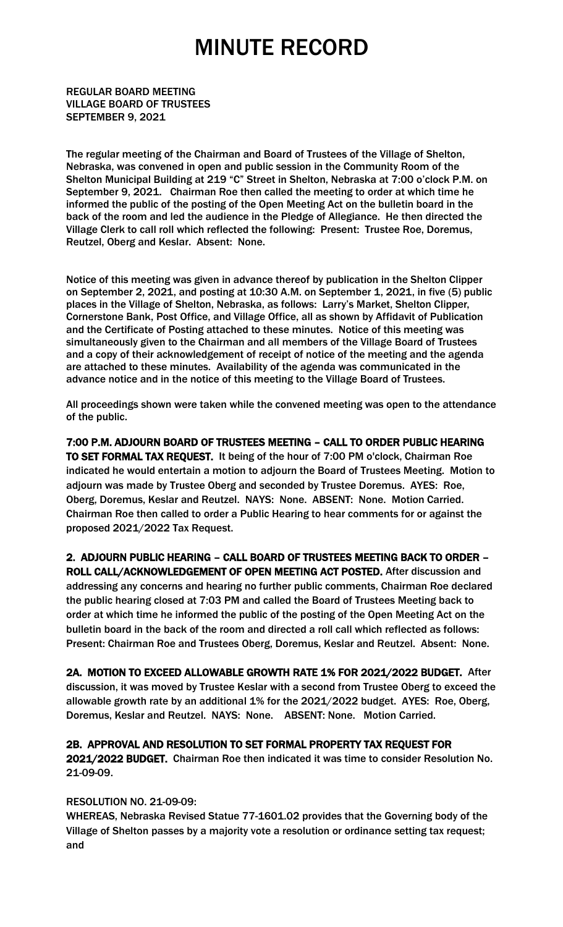REGULAR BOARD MEETING VILLAGE BOARD OF TRUSTEES SEPTEMBER 9, 2021

The regular meeting of the Chairman and Board of Trustees of the Village of Shelton, Nebraska, was convened in open and public session in the Community Room of the Shelton Municipal Building at 219 "C" Street in Shelton, Nebraska at 7:00 o'clock P.M. on September 9, 2021. Chairman Roe then called the meeting to order at which time he informed the public of the posting of the Open Meeting Act on the bulletin board in the back of the room and led the audience in the Pledge of Allegiance. He then directed the Village Clerk to call roll which reflected the following: Present: Trustee Roe, Doremus, Reutzel, Oberg and Keslar. Absent: None.

Notice of this meeting was given in advance thereof by publication in the Shelton Clipper on September 2, 2021, and posting at 10:30 A.M. on September 1, 2021, in five (5) public places in the Village of Shelton, Nebraska, as follows: Larry's Market, Shelton Clipper, Cornerstone Bank, Post Office, and Village Office, all as shown by Affidavit of Publication and the Certificate of Posting attached to these minutes. Notice of this meeting was simultaneously given to the Chairman and all members of the Village Board of Trustees and a copy of their acknowledgement of receipt of notice of the meeting and the agenda are attached to these minutes. Availability of the agenda was communicated in the advance notice and in the notice of this meeting to the Village Board of Trustees.

All proceedings shown were taken while the convened meeting was open to the attendance of the public.

7:00 P.M. ADJOURN BOARD OF TRUSTEES MEETING – CALL TO ORDER PUBLIC HEARING TO SET FORMAL TAX REQUEST. It being of the hour of 7:00 PM o'clock, Chairman Roe indicated he would entertain a motion to adjourn the Board of Trustees Meeting. Motion to adjourn was made by Trustee Oberg and seconded by Trustee Doremus. AYES: Roe, Oberg, Doremus, Keslar and Reutzel. NAYS: None. ABSENT: None. Motion Carried. Chairman Roe then called to order a Public Hearing to hear comments for or against the proposed 2021/2022 Tax Request.

2. ADJOURN PUBLIC HEARING – CALL BOARD OF TRUSTEES MEETING BACK TO ORDER – ROLL CALL/ACKNOWLEDGEMENT OF OPEN MEETING ACT POSTED. After discussion and addressing any concerns and hearing no further public comments, Chairman Roe declared the public hearing closed at 7:03 PM and called the Board of Trustees Meeting back to order at which time he informed the public of the posting of the Open Meeting Act on the bulletin board in the back of the room and directed a roll call which reflected as follows: Present: Chairman Roe and Trustees Oberg, Doremus, Keslar and Reutzel. Absent: None.

2A. MOTION TO EXCEED ALLOWABLE GROWTH RATE 1% FOR 2021/2022 BUDGET. After discussion, it was moved by Trustee Keslar with a second from Trustee Oberg to exceed the allowable growth rate by an additional 1% for the 2021/2022 budget. AYES: Roe, Oberg, Doremus, Keslar and Reutzel. NAYS: None. ABSENT: None. Motion Carried.

#### 2B. APPROVAL AND RESOLUTION TO SET FORMAL PROPERTY TAX REQUEST FOR

2021/2022 BUDGET. Chairman Roe then indicated it was time to consider Resolution No. 21-09-09.

#### RESOLUTION NO. 21-09-09:

WHEREAS, Nebraska Revised Statue 77-1601.02 provides that the Governing body of the Village of Shelton passes by a majority vote a resolution or ordinance setting tax request; and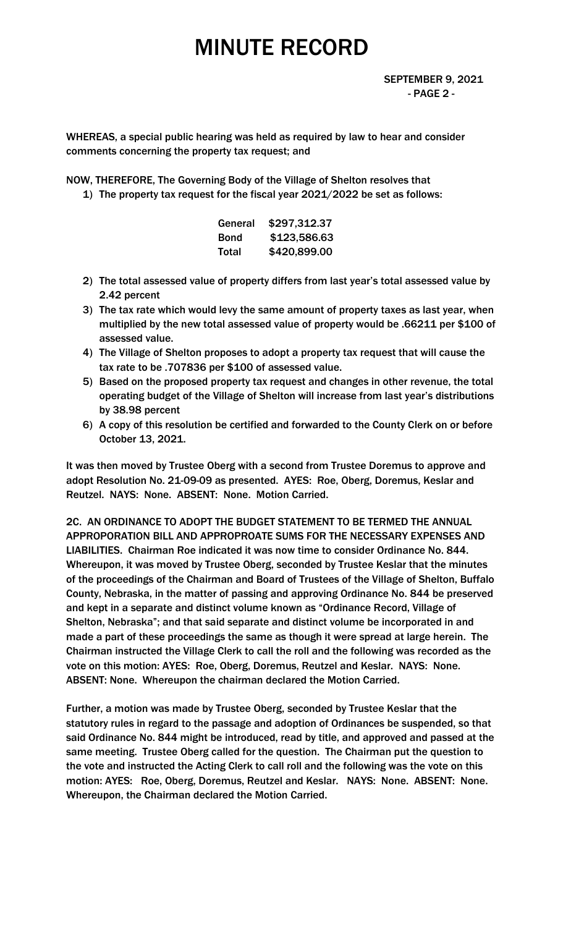WHEREAS, a special public hearing was held as required by law to hear and consider comments concerning the property tax request; and

NOW, THEREFORE, The Governing Body of the Village of Shelton resolves that

1) The property tax request for the fiscal year 2021/2022 be set as follows:

|       | General \$297,312.37 |
|-------|----------------------|
| Bond  | \$123,586.63         |
| Total | \$420,899.00         |

- 2) The total assessed value of property differs from last year's total assessed value by 2.42 percent
- 3) The tax rate which would levy the same amount of property taxes as last year, when multiplied by the new total assessed value of property would be .66211 per \$100 of assessed value.
- 4) The Village of Shelton proposes to adopt a property tax request that will cause the tax rate to be .707836 per \$100 of assessed value.
- 5) Based on the proposed property tax request and changes in other revenue, the total operating budget of the Village of Shelton will increase from last year's distributions by 38.98 percent
- 6) A copy of this resolution be certified and forwarded to the County Clerk on or before October 13, 2021.

It was then moved by Trustee Oberg with a second from Trustee Doremus to approve and adopt Resolution No. 21-09-09 as presented. AYES: Roe, Oberg, Doremus, Keslar and Reutzel. NAYS: None. ABSENT: None. Motion Carried.

2C. AN ORDINANCE TO ADOPT THE BUDGET STATEMENT TO BE TERMED THE ANNUAL APPROPORATION BILL AND APPROPROATE SUMS FOR THE NECESSARY EXPENSES AND LIABILITIES. Chairman Roe indicated it was now time to consider Ordinance No. 844. Whereupon, it was moved by Trustee Oberg, seconded by Trustee Keslar that the minutes of the proceedings of the Chairman and Board of Trustees of the Village of Shelton, Buffalo County, Nebraska, in the matter of passing and approving Ordinance No. 844 be preserved and kept in a separate and distinct volume known as "Ordinance Record, Village of Shelton, Nebraska"; and that said separate and distinct volume be incorporated in and made a part of these proceedings the same as though it were spread at large herein. The Chairman instructed the Village Clerk to call the roll and the following was recorded as the vote on this motion: AYES: Roe, Oberg, Doremus, Reutzel and Keslar. NAYS: None. ABSENT: None. Whereupon the chairman declared the Motion Carried.

Further, a motion was made by Trustee Oberg, seconded by Trustee Keslar that the statutory rules in regard to the passage and adoption of Ordinances be suspended, so that said Ordinance No. 844 might be introduced, read by title, and approved and passed at the same meeting. Trustee Oberg called for the question. The Chairman put the question to the vote and instructed the Acting Clerk to call roll and the following was the vote on this motion: AYES: Roe, Oberg, Doremus, Reutzel and Keslar. NAYS: None. ABSENT: None. Whereupon, the Chairman declared the Motion Carried.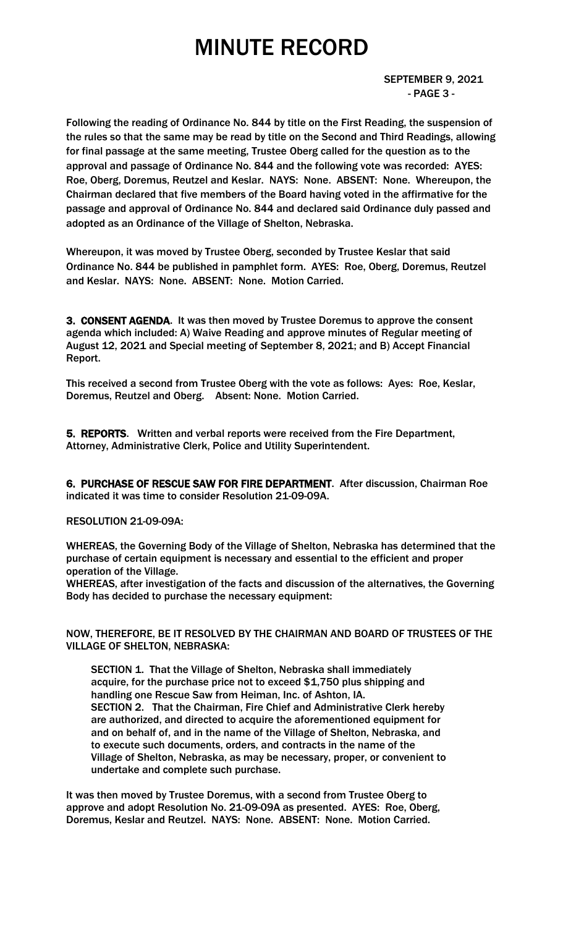SEPTEMBER 9, 2021 - PAGE 3 -

Following the reading of Ordinance No. 844 by title on the First Reading, the suspension of the rules so that the same may be read by title on the Second and Third Readings, allowing for final passage at the same meeting, Trustee Oberg called for the question as to the approval and passage of Ordinance No. 844 and the following vote was recorded: AYES: Roe, Oberg, Doremus, Reutzel and Keslar. NAYS: None. ABSENT: None. Whereupon, the Chairman declared that five members of the Board having voted in the affirmative for the passage and approval of Ordinance No. 844 and declared said Ordinance duly passed and adopted as an Ordinance of the Village of Shelton, Nebraska.

Whereupon, it was moved by Trustee Oberg, seconded by Trustee Keslar that said Ordinance No. 844 be published in pamphlet form. AYES: Roe, Oberg, Doremus, Reutzel and Keslar. NAYS: None. ABSENT: None. Motion Carried.

3. CONSENT AGENDA. It was then moved by Trustee Doremus to approve the consent agenda which included: A) Waive Reading and approve minutes of Regular meeting of August 12, 2021 and Special meeting of September 8, 2021; and B) Accept Financial Report.

This received a second from Trustee Oberg with the vote as follows: Ayes: Roe, Keslar, Doremus, Reutzel and Oberg. Absent: None. Motion Carried.

5. REPORTS. Written and verbal reports were received from the Fire Department, Attorney, Administrative Clerk, Police and Utility Superintendent.

6. PURCHASE OF RESCUE SAW FOR FIRE DEPARTMENT. After discussion, Chairman Roe indicated it was time to consider Resolution 21-09-09A.

#### RESOLUTION 21-09-09A:

WHEREAS, the Governing Body of the Village of Shelton, Nebraska has determined that the purchase of certain equipment is necessary and essential to the efficient and proper operation of the Village.

WHEREAS, after investigation of the facts and discussion of the alternatives, the Governing Body has decided to purchase the necessary equipment:

NOW, THEREFORE, BE IT RESOLVED BY THE CHAIRMAN AND BOARD OF TRUSTEES OF THE VILLAGE OF SHELTON, NEBRASKA:

SECTION 1. That the Village of Shelton, Nebraska shall immediately acquire, for the purchase price not to exceed \$1,750 plus shipping and handling one Rescue Saw from Heiman, Inc. of Ashton, IA. SECTION 2. That the Chairman, Fire Chief and Administrative Clerk hereby are authorized, and directed to acquire the aforementioned equipment for and on behalf of, and in the name of the Village of Shelton, Nebraska, and to execute such documents, orders, and contracts in the name of the Village of Shelton, Nebraska, as may be necessary, proper, or convenient to undertake and complete such purchase.

It was then moved by Trustee Doremus, with a second from Trustee Oberg to approve and adopt Resolution No. 21-09-09A as presented. AYES: Roe, Oberg, Doremus, Keslar and Reutzel. NAYS: None. ABSENT: None. Motion Carried.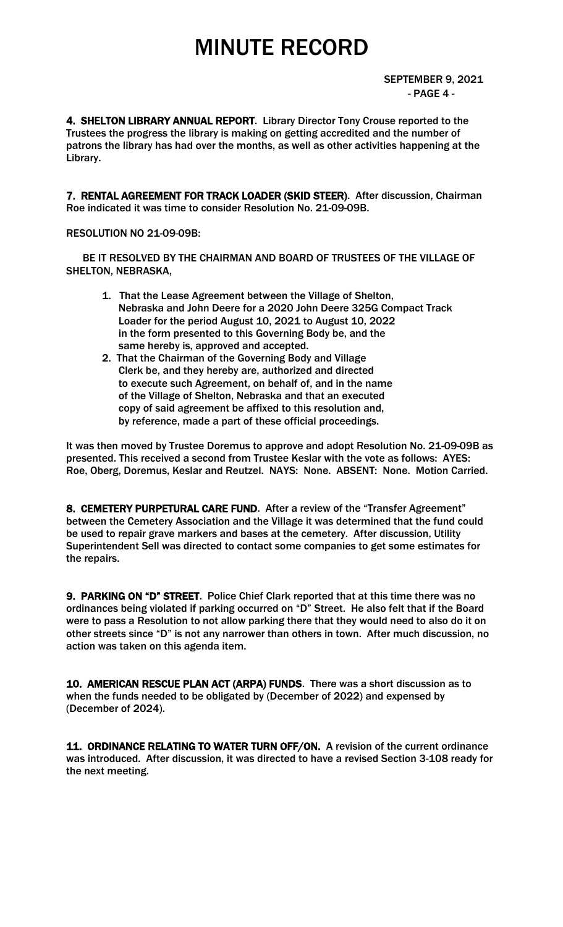4. SHELTON LIBRARY ANNUAL REPORT. Library Director Tony Crouse reported to the Trustees the progress the library is making on getting accredited and the number of patrons the library has had over the months, as well as other activities happening at the Library.

7. RENTAL AGREEMENT FOR TRACK LOADER (SKID STEER). After discussion, Chairman Roe indicated it was time to consider Resolution No. 21-09-09B.

#### RESOLUTION NO 21-09-09B:

 BE IT RESOLVED BY THE CHAIRMAN AND BOARD OF TRUSTEES OF THE VILLAGE OF SHELTON, NEBRASKA,

- 1. That the Lease Agreement between the Village of Shelton, Nebraska and John Deere for a 2020 John Deere 325G Compact Track Loader for the period August 10, 2021 to August 10, 2022 in the form presented to this Governing Body be, and the same hereby is, approved and accepted.
- 2. That the Chairman of the Governing Body and Village Clerk be, and they hereby are, authorized and directed to execute such Agreement, on behalf of, and in the name of the Village of Shelton, Nebraska and that an executed copy of said agreement be affixed to this resolution and, by reference, made a part of these official proceedings.

It was then moved by Trustee Doremus to approve and adopt Resolution No. 21-09-09B as presented. This received a second from Trustee Keslar with the vote as follows: AYES: Roe, Oberg, Doremus, Keslar and Reutzel. NAYS: None. ABSENT: None. Motion Carried.

8. CEMETERY PURPETURAL CARE FUND. After a review of the "Transfer Agreement" between the Cemetery Association and the Village it was determined that the fund could be used to repair grave markers and bases at the cemetery. After discussion, Utility Superintendent Sell was directed to contact some companies to get some estimates for the repairs.

9. PARKING ON "D" STREET. Police Chief Clark reported that at this time there was no ordinances being violated if parking occurred on "D" Street. He also felt that if the Board were to pass a Resolution to not allow parking there that they would need to also do it on other streets since "D" is not any narrower than others in town. After much discussion, no action was taken on this agenda item.

10. AMERICAN RESCUE PLAN ACT (ARPA) FUNDS. There was a short discussion as to when the funds needed to be obligated by (December of 2022) and expensed by (December of 2024).

11. ORDINANCE RELATING TO WATER TURN OFF/ON. A revision of the current ordinance was introduced. After discussion, it was directed to have a revised Section 3-108 ready for the next meeting.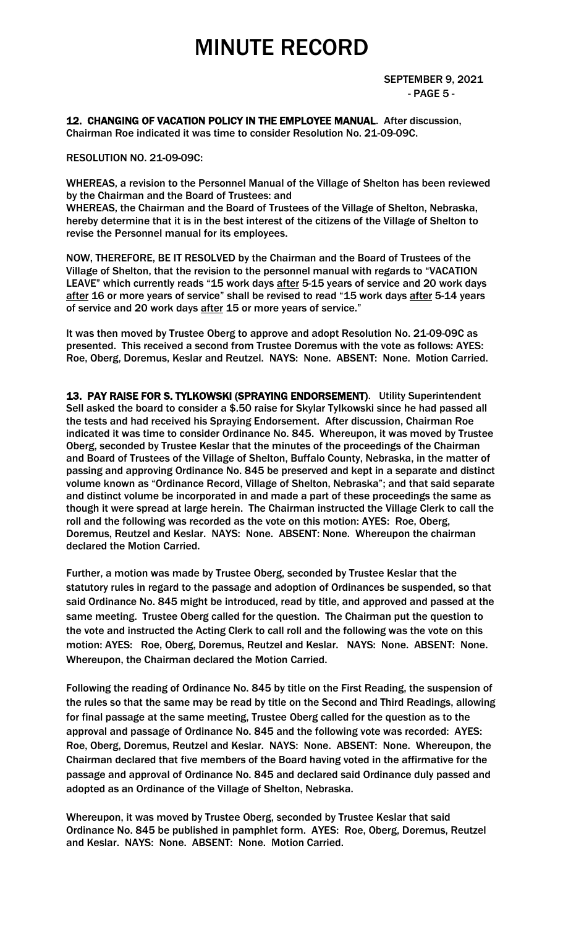12. CHANGING OF VACATION POLICY IN THE EMPLOYEE MANUAL. After discussion, Chairman Roe indicated it was time to consider Resolution No. 21-09-09C.

RESOLUTION NO. 21-09-09C:

WHEREAS, a revision to the Personnel Manual of the Village of Shelton has been reviewed by the Chairman and the Board of Trustees: and WHEREAS, the Chairman and the Board of Trustees of the Village of Shelton, Nebraska, hereby determine that it is in the best interest of the citizens of the Village of Shelton to revise the Personnel manual for its employees.

NOW, THEREFORE, BE IT RESOLVED by the Chairman and the Board of Trustees of the Village of Shelton, that the revision to the personnel manual with regards to "VACATION LEAVE" which currently reads "15 work days after 5-15 years of service and 20 work days after 16 or more years of service" shall be revised to read "15 work days after 5-14 years of service and 20 work days after 15 or more years of service."

It was then moved by Trustee Oberg to approve and adopt Resolution No. 21-09-09C as presented. This received a second from Trustee Doremus with the vote as follows: AYES: Roe, Oberg, Doremus, Keslar and Reutzel. NAYS: None. ABSENT: None. Motion Carried.

13. PAY RAISE FOR S. TYLKOWSKI (SPRAYING ENDORSEMENT). Utility Superintendent Sell asked the board to consider a \$.50 raise for Skylar Tylkowski since he had passed all the tests and had received his Spraying Endorsement. After discussion, Chairman Roe indicated it was time to consider Ordinance No. 845. Whereupon, it was moved by Trustee Oberg, seconded by Trustee Keslar that the minutes of the proceedings of the Chairman and Board of Trustees of the Village of Shelton, Buffalo County, Nebraska, in the matter of passing and approving Ordinance No. 845 be preserved and kept in a separate and distinct volume known as "Ordinance Record, Village of Shelton, Nebraska"; and that said separate and distinct volume be incorporated in and made a part of these proceedings the same as though it were spread at large herein. The Chairman instructed the Village Clerk to call the roll and the following was recorded as the vote on this motion: AYES: Roe, Oberg, Doremus, Reutzel and Keslar. NAYS: None. ABSENT: None. Whereupon the chairman declared the Motion Carried.

Further, a motion was made by Trustee Oberg, seconded by Trustee Keslar that the statutory rules in regard to the passage and adoption of Ordinances be suspended, so that said Ordinance No. 845 might be introduced, read by title, and approved and passed at the same meeting. Trustee Oberg called for the question. The Chairman put the question to the vote and instructed the Acting Clerk to call roll and the following was the vote on this motion: AYES: Roe, Oberg, Doremus, Reutzel and Keslar. NAYS: None. ABSENT: None. Whereupon, the Chairman declared the Motion Carried.

Following the reading of Ordinance No. 845 by title on the First Reading, the suspension of the rules so that the same may be read by title on the Second and Third Readings, allowing for final passage at the same meeting, Trustee Oberg called for the question as to the approval and passage of Ordinance No. 845 and the following vote was recorded: AYES: Roe, Oberg, Doremus, Reutzel and Keslar. NAYS: None. ABSENT: None. Whereupon, the Chairman declared that five members of the Board having voted in the affirmative for the passage and approval of Ordinance No. 845 and declared said Ordinance duly passed and adopted as an Ordinance of the Village of Shelton, Nebraska.

Whereupon, it was moved by Trustee Oberg, seconded by Trustee Keslar that said Ordinance No. 845 be published in pamphlet form. AYES: Roe, Oberg, Doremus, Reutzel and Keslar. NAYS: None. ABSENT: None. Motion Carried.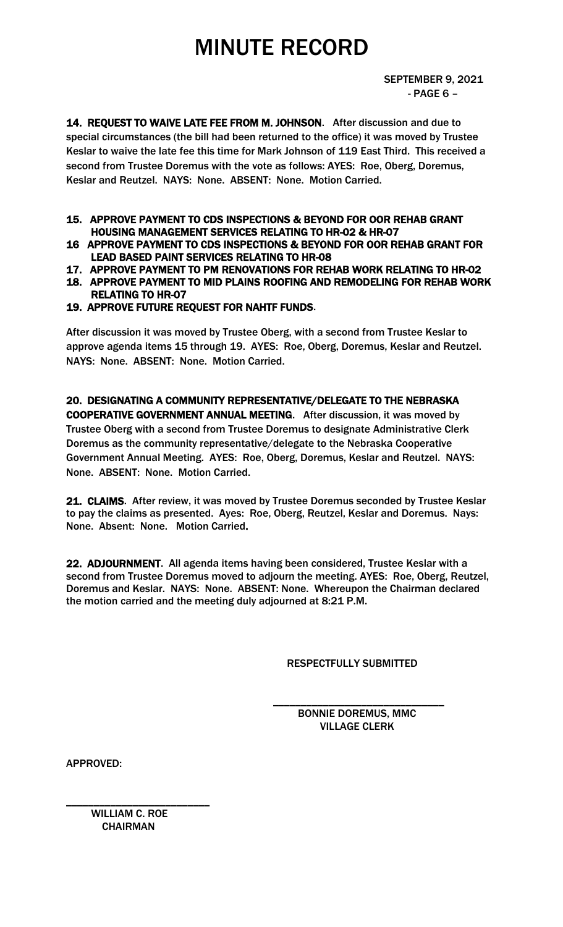14. REQUEST TO WAIVE LATE FEE FROM M. JOHNSON. After discussion and due to special circumstances (the bill had been returned to the office) it was moved by Trustee Keslar to waive the late fee this time for Mark Johnson of 119 East Third. This received a second from Trustee Doremus with the vote as follows: AYES: Roe, Oberg, Doremus, Keslar and Reutzel. NAYS: None. ABSENT: None. Motion Carried.

#### 15. APPROVE PAYMENT TO CDS INSPECTIONS & BEYOND FOR OOR REHAB GRANT HOUSING MANAGEMENT SERVICES RELATING TO HR-02 & HR-07

- 16 APPROVE PAYMENT TO CDS INSPECTIONS & BEYOND FOR OOR REHAB GRANT FOR LEAD BASED PAINT SERVICES RELATING TO HR-08
- 17. APPROVE PAYMENT TO PM RENOVATIONS FOR REHAB WORK RELATING TO HR-02
- 18. APPROVE PAYMENT TO MID PLAINS ROOFING AND REMODELING FOR REHAB WORK RELATING TO HR-07
- 19. APPROVE FUTURE REQUEST FOR NAHTF FUNDS.

After discussion it was moved by Trustee Oberg, with a second from Trustee Keslar to approve agenda items 15 through 19. AYES: Roe, Oberg, Doremus, Keslar and Reutzel. NAYS: None. ABSENT: None. Motion Carried.

20. DESIGNATING A COMMUNITY REPRESENTATIVE/DELEGATE TO THE NEBRASKA COOPERATIVE GOVERNMENT ANNUAL MEETING. After discussion, it was moved by Trustee Oberg with a second from Trustee Doremus to designate Administrative Clerk Doremus as the community representative/delegate to the Nebraska Cooperative Government Annual Meeting. AYES: Roe, Oberg, Doremus, Keslar and Reutzel. NAYS: None. ABSENT: None. Motion Carried.

21. CLAIMS. After review, it was moved by Trustee Doremus seconded by Trustee Keslar to pay the claims as presented. Ayes: Roe, Oberg, Reutzel, Keslar and Doremus. Nays: None. Absent: None. Motion Carried.

22. ADJOURNMENT. All agenda items having been considered, Trustee Keslar with a second from Trustee Doremus moved to adjourn the meeting. AYES: Roe, Oberg, Reutzel, Doremus and Keslar. NAYS: None. ABSENT: None. Whereupon the Chairman declared the motion carried and the meeting duly adjourned at 8:21 P.M.

 $\overline{\phantom{a}}$  , and the contract of the contract of the contract of the contract of the contract of the contract of the contract of the contract of the contract of the contract of the contract of the contract of the contrac

RESPECTFULLY SUBMITTED

 BONNIE DOREMUS, MMC VILLAGE CLERK

APPROVED:

 WILLIAM C. ROE **CHAIRMAN** 

\_\_\_\_\_\_\_\_\_\_\_\_\_\_\_\_\_\_\_\_\_\_\_\_\_\_